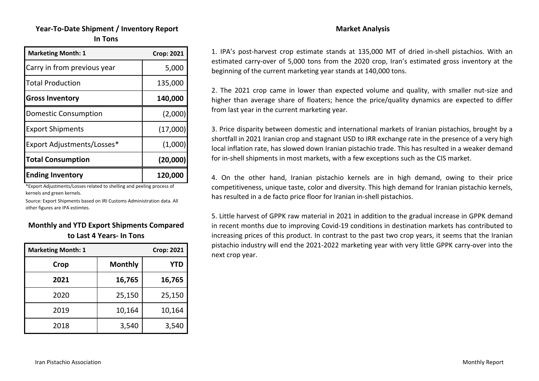# **Year‐To‐Date Shipment / Inventory Report In Tons**

| <b>Marketing Month: 1</b>   | <b>Crop: 2021</b> |
|-----------------------------|-------------------|
| Carry in from previous year | 5,000             |
| <b>Total Production</b>     | 135,000           |
| <b>Gross Inventory</b>      | 140,000           |
| <b>Domestic Consumption</b> | (2,000)           |
| <b>Export Shipments</b>     | (17,000)          |
| Export Adjustments/Losses*  | (1,000)           |
| <b>Total Consumption</b>    | (20,000)          |
| <b>Ending Inventory</b>     | 120,000           |

\*Export Adjustments/Losses related to shelling and peeling process of kernels and green kernels.

Source: Export Shipments based on IRI Customs Administration data. All other figures are IPA estimtes.

#### **Monthly and YTD Export Shipments Compared to Last 4 Years‐ In Tons**

| <b>Marketing Month: 1</b> |                | <b>Crop: 2021</b> |
|---------------------------|----------------|-------------------|
| Crop                      | <b>Monthly</b> | <b>YTD</b>        |
| 2021                      | 16,765         | 16,765            |
| 2020                      | 25,150         | 25,150            |
| 2019                      | 10,164         | 10,164            |
| 2018                      | 3,540          | 3,540             |

#### **Market Analysis**

1. IPA's post‐harvest crop estimate stands at 135,000 MT of dried in‐shell pistachios. With an estimated carry‐over of 5,000 tons from the 2020 crop, Iran's estimated gross inventory at the beginning of the current marketing year stands at 140,000 tons.

2. The 2021 crop came in lower than expected volume and quality, with smaller nut‐size and higher than average share of floaters; hence the price/quality dynamics are expected to differ from last year in the current marketing year.

3. Price disparity between domestic and international markets of Iranian pistachios, brought by <sup>a</sup> shortfall in 2021 Iranian crop and stagnant USD to IRR exchange rate in the presence of <sup>a</sup> very high local inflation rate, has slowed down Iranian pistachio trade. This has resulted in <sup>a</sup> weaker demand for in‐shell shipments in most markets, with a few exceptions such as the CIS market.

4. On the other hand, Iranian pistachio kernels are in high demand, owing to their price competitiveness, unique taste, color and diversity. This high demand for Iranian pistachio kernels, has resulted in a de facto price floor for Iranian in‐shell pistachios.

5. Little harvest of GPPK raw material in 2021 in addition to the gradual increase in GPPK demand in recent months due to improving Covid‐19 conditions in destination markets has contributed to increasing prices of this product. In contrast to the past two crop years, it seems that the Iranian pistachio industry will end the 2021‐2022 marketing year with very little GPPK carry‐over into the next crop year.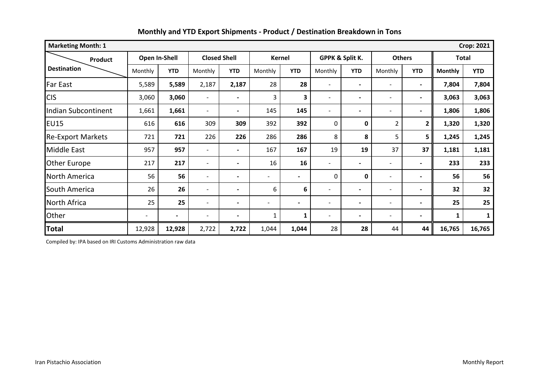| <b>Crop: 2021</b><br><b>Marketing Month: 1</b> |                          |                |                          |                          |         |                |                          |                          |                          |                          |                |            |
|------------------------------------------------|--------------------------|----------------|--------------------------|--------------------------|---------|----------------|--------------------------|--------------------------|--------------------------|--------------------------|----------------|------------|
| <b>Product</b>                                 |                          | Open In-Shell  | <b>Closed Shell</b>      |                          |         | <b>Kernel</b>  | GPPK & Split K.          |                          | <b>Others</b>            |                          | <b>Total</b>   |            |
| <b>Destination</b>                             | Monthly                  | <b>YTD</b>     | Monthly                  | <b>YTD</b>               | Monthly | <b>YTD</b>     | Monthly                  | <b>YTD</b>               | Monthly                  | <b>YTD</b>               | <b>Monthly</b> | <b>YTD</b> |
| <b>Far East</b>                                | 5,589                    | 5,589          | 2,187                    | 2,187                    | 28      | 28             | $\overline{a}$           | $\overline{\phantom{0}}$ | $\overline{\phantom{0}}$ | $\blacksquare$           | 7,804          | 7,804      |
| <b>CIS</b>                                     | 3,060                    | 3,060          | $\overline{\phantom{a}}$ | $\overline{\phantom{0}}$ | 3       | 3              |                          | $\overline{\phantom{0}}$ | $\overline{\phantom{0}}$ | $\overline{\phantom{a}}$ | 3,063          | 3,063      |
| <b>Indian Subcontinent</b>                     | 1,661                    | 1,661          | $\overline{\phantom{0}}$ | $\blacksquare$           | 145     | 145            |                          | $\overline{\phantom{0}}$ | $\overline{\phantom{0}}$ | $\blacksquare$           | 1,806          | 1,806      |
| <b>EU15</b>                                    | 616                      | 616            | 309                      | 309                      | 392     | 392            | 0                        | $\mathbf 0$              | $\overline{2}$           | $\overline{2}$           | 1,320          | 1,320      |
| <b>Re-Export Markets</b>                       | 721                      | 721            | 226                      | 226                      | 286     | 286            | 8                        | 8                        | 5                        | 5                        | 1,245          | 1,245      |
| Middle East                                    | 957                      | 957            | $\overline{\phantom{a}}$ | $\blacksquare$           | 167     | 167            | 19                       | 19                       | 37                       | 37                       | 1,181          | 1,181      |
| <b>Other Europe</b>                            | 217                      | 217            | $\overline{\phantom{a}}$ | $\blacksquare$           | 16      | 16             | $\overline{\phantom{0}}$ | $\overline{\phantom{0}}$ | $\overline{\phantom{0}}$ | $\overline{\phantom{0}}$ | 233            | 233        |
| North America                                  | 56                       | 56             | $\overline{\phantom{a}}$ | $\blacksquare$           |         | $\blacksquare$ | 0                        | 0                        | $\overline{\phantom{0}}$ | $\blacksquare$           | 56             | 56         |
| South America                                  | 26                       | 26             | $\overline{\phantom{a}}$ | $\blacksquare$           | 6       | 6              | $\overline{\phantom{0}}$ | $\overline{\phantom{0}}$ | $\overline{\phantom{0}}$ | $\blacksquare$           | 32             | 32         |
| North Africa                                   | 25                       | 25             | $\overline{\phantom{a}}$ | $\blacksquare$           |         | $\blacksquare$ | $\overline{\phantom{0}}$ | $\overline{\phantom{0}}$ | $\overline{\phantom{0}}$ | $\blacksquare$           | 25             | 25         |
| Other                                          | $\overline{\phantom{a}}$ | $\blacksquare$ | $\overline{\phantom{a}}$ | $\blacksquare$           | 1       | 1              | $\overline{\phantom{0}}$ | $\overline{\phantom{0}}$ | $\overline{\phantom{0}}$ | $\blacksquare$           | 1              |            |
| <b>Total</b>                                   | 12,928                   | 12,928         | 2,722                    | 2,722                    | 1,044   | 1,044          | 28                       | 28                       | 44                       | 44                       | 16,765         | 16,765     |

Compiled by: IPA based on IRI Customs Administration raw data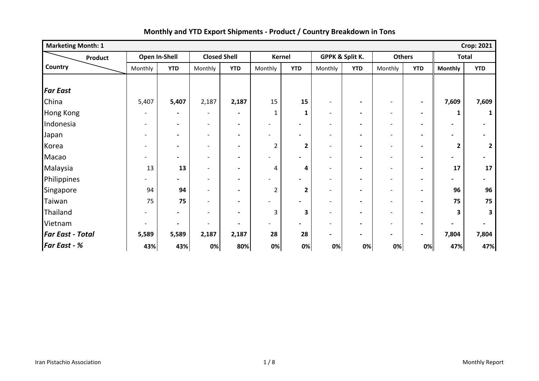| <b>Crop: 2021</b><br><b>Marketing Month: 1</b> |         |                          |                              |                              |                              |                          |                          |                          |                          |                          |                |                         |
|------------------------------------------------|---------|--------------------------|------------------------------|------------------------------|------------------------------|--------------------------|--------------------------|--------------------------|--------------------------|--------------------------|----------------|-------------------------|
| Product                                        |         | Open In-Shell            | <b>Closed Shell</b>          |                              |                              | Kernel                   | GPPK & Split K.          |                          | <b>Others</b>            |                          | <b>Total</b>   |                         |
| Country                                        | Monthly | <b>YTD</b>               | Monthly                      | <b>YTD</b>                   | Monthly                      | <b>YTD</b>               | Monthly                  | <b>YTD</b>               | Monthly                  | <b>YTD</b>               | <b>Monthly</b> | <b>YTD</b>              |
|                                                |         |                          |                              |                              |                              |                          |                          |                          |                          |                          |                |                         |
| <b>Far East</b>                                |         |                          |                              |                              |                              |                          |                          |                          |                          |                          |                |                         |
| China                                          | 5,407   | 5,407                    | 2,187                        | 2,187                        | 15                           | 15                       | $\overline{\phantom{a}}$ | $\blacksquare$           | $\overline{\phantom{a}}$ | $\overline{\phantom{a}}$ | 7,609          | 7,609                   |
| <b>Hong Kong</b>                               |         | $\blacksquare$           | $\overline{\phantom{a}}$     | $\qquad \qquad \blacksquare$ | $\mathbf{1}$                 | 1                        | $\overline{\phantom{a}}$ | $\blacksquare$           | $\overline{\phantom{a}}$ | $\blacksquare$           | 1              |                         |
| Indonesia                                      |         | $\blacksquare$           | $\qquad \qquad -$            | $\blacksquare$               | $\qquad \qquad \blacksquare$ | $\overline{\phantom{0}}$ | $\overline{\phantom{a}}$ | $\blacksquare$           | $\overline{\phantom{a}}$ | $\blacksquare$           |                |                         |
| Japan                                          |         | $\blacksquare$           | $\overline{\phantom{a}}$     | $\blacksquare$               |                              | $\blacksquare$           | $\overline{\phantom{a}}$ | $\blacksquare$           | $\overline{\phantom{a}}$ | $\overline{\phantom{a}}$ |                |                         |
| Korea                                          |         | $\blacksquare$           | $\overline{\phantom{0}}$     | $\overline{\phantom{0}}$     | 2                            | 2                        | $\blacksquare$           | $\blacksquare$           | $\overline{\phantom{a}}$ | $\overline{\phantom{a}}$ | $\mathbf{2}$   | $\overline{\mathbf{z}}$ |
| Macao                                          |         | $\blacksquare$           | $\qquad \qquad \blacksquare$ | $\blacksquare$               | $\overline{\phantom{0}}$     | $\overline{\phantom{0}}$ | $\overline{\phantom{a}}$ | $\blacksquare$           | $\overline{\phantom{a}}$ | $\blacksquare$           |                |                         |
| Malaysia                                       | 13      | 13                       | $\qquad \qquad -$            | $\qquad \qquad \blacksquare$ | 4                            | 4                        | $\blacksquare$           | $\blacksquare$           | $\overline{\phantom{a}}$ | $\blacksquare$           | 17             | 17                      |
| Philippines                                    |         | $\overline{\phantom{0}}$ | $\overline{\phantom{a}}$     | $\blacksquare$               |                              | $\overline{\phantom{0}}$ |                          | $\blacksquare$           | $\sim$                   |                          |                |                         |
| Singapore                                      | 94      | 94                       | $\qquad \qquad \blacksquare$ | $\blacksquare$               | 2                            | $\mathbf{2}$             | $\overline{a}$           | $\overline{\phantom{0}}$ | $\overline{\phantom{a}}$ |                          | 96             | 96                      |
| Taiwan                                         | 75      | 75                       | $\overline{\phantom{0}}$     | $\blacksquare$               |                              | $\overline{\phantom{0}}$ |                          | $\overline{\phantom{0}}$ | $\overline{\phantom{a}}$ |                          | 75             | 75                      |
| Thailand                                       |         | $\blacksquare$           | $\blacksquare$               | $\blacksquare$               | 3                            | 3                        | $\blacksquare$           | $\blacksquare$           | $\overline{\phantom{a}}$ | $\blacksquare$           | 3              | 3                       |
| Vietnam                                        |         | $\blacksquare$           |                              | $\qquad \qquad \blacksquare$ |                              | $\blacksquare$           | -                        | $\blacksquare$           | $\overline{\phantom{a}}$ | $\overline{\phantom{a}}$ |                |                         |
| <b>Far East - Total</b>                        | 5,589   | 5,589                    | 2,187                        | 2,187                        | 28                           | 28                       | $\blacksquare$           | $\blacksquare$           | $\blacksquare$           | $\blacksquare$           | 7,804          | 7,804                   |
| <b>Far East - %</b>                            | 43%     | 43%                      | 0%                           | 80%                          | 0%                           | 0%                       | 0%                       | 0%                       | 0%                       | 0%                       | 47%            | 47%                     |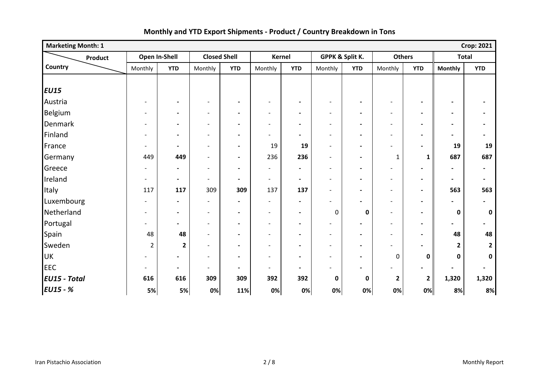| <b>Marketing Month: 1</b> |                          |                |                          |                              |                              |                          |                          |                          |                              |                |                          | <b>Crop: 2021</b>        |
|---------------------------|--------------------------|----------------|--------------------------|------------------------------|------------------------------|--------------------------|--------------------------|--------------------------|------------------------------|----------------|--------------------------|--------------------------|
| Product                   |                          | Open In-Shell  | <b>Closed Shell</b>      |                              |                              | <b>Kernel</b>            |                          | GPPK & Split K.          | <b>Others</b>                |                | <b>Total</b>             |                          |
| Country                   | Monthly                  | <b>YTD</b>     | Monthly                  | <b>YTD</b>                   | Monthly                      | <b>YTD</b>               | Monthly                  | <b>YTD</b>               | Monthly                      | <b>YTD</b>     | <b>Monthly</b>           | <b>YTD</b>               |
|                           |                          |                |                          |                              |                              |                          |                          |                          |                              |                |                          |                          |
| <b>EU15</b>               |                          |                |                          |                              |                              |                          |                          |                          |                              |                |                          |                          |
| Austria                   | $\overline{\phantom{a}}$ | $\blacksquare$ | $\qquad \qquad$          | $\blacksquare$               | $\qquad \qquad \blacksquare$ | $\blacksquare$           | $\overline{\phantom{a}}$ | $\blacksquare$           | $\overline{\phantom{a}}$     |                |                          |                          |
| Belgium                   | $\overline{\phantom{a}}$ | $\blacksquare$ | $\overline{\phantom{a}}$ | $\blacksquare$               | $\overline{\phantom{a}}$     | $\overline{\phantom{a}}$ | $\overline{\phantom{a}}$ | $\blacksquare$           | $\overline{\phantom{a}}$     | $\blacksquare$ | $\overline{\phantom{a}}$ | $\blacksquare$           |
| Denmark                   | $\overline{\phantom{a}}$ | $\blacksquare$ | $\overline{a}$           | $\overline{\phantom{a}}$     | $\overline{\phantom{a}}$     | $\blacksquare$           | $\overline{\phantom{a}}$ | $\blacksquare$           | $\overline{\phantom{a}}$     | $\blacksquare$ | $\overline{\phantom{a}}$ | $\blacksquare$           |
| Finland                   | $\blacksquare$           | $\blacksquare$ | $\overline{a}$           | $\overline{\phantom{a}}$     | $\overline{\phantom{a}}$     | $\blacksquare$           | $\overline{\phantom{a}}$ | $\overline{\phantom{a}}$ | $\overline{\phantom{a}}$     | $\blacksquare$ |                          | $\overline{\phantom{a}}$ |
| France                    | $\overline{\phantom{a}}$ | $\blacksquare$ | $\qquad \qquad -$        | $\overline{\phantom{a}}$     | 19                           | 19                       | $\overline{\phantom{a}}$ | $\blacksquare$           | $\blacksquare$               | $\blacksquare$ | 19                       | 19                       |
| Germany                   | 449                      | 449            | $\qquad \qquad -$        | $\overline{\phantom{a}}$     | 236                          | 236                      | $\overline{\phantom{a}}$ | $\blacksquare$           | $\mathbf{1}$                 | 1              | 687                      | 687                      |
| Greece                    | $\overline{\phantom{0}}$ | $\blacksquare$ | $\overline{\phantom{a}}$ | $\blacksquare$               | $\overline{\phantom{a}}$     | $\blacksquare$           | $\overline{\phantom{a}}$ | $\blacksquare$           | $\overline{\phantom{a}}$     | $\blacksquare$ | $\overline{\phantom{a}}$ | $\blacksquare$           |
| Ireland                   | $\blacksquare$           | $\blacksquare$ | $\overline{\phantom{a}}$ | $\overline{\phantom{a}}$     | $\overline{\phantom{a}}$     | $\blacksquare$           | $\blacksquare$           | $\blacksquare$           | $\overline{\phantom{a}}$     | $\blacksquare$ | $\blacksquare$           | $\blacksquare$           |
| Italy                     | 117                      | 117            | 309                      | 309                          | 137                          | 137                      | $\overline{\phantom{a}}$ | $\blacksquare$           | $\overline{\phantom{a}}$     | $\blacksquare$ | 563                      | 563                      |
| Luxembourg                | $\overline{\phantom{a}}$ | $\blacksquare$ | $\overline{\phantom{0}}$ | $\qquad \qquad \blacksquare$ | $\overline{\phantom{0}}$     | $\blacksquare$           | $\overline{\phantom{0}}$ | $\blacksquare$           | $\overline{\phantom{a}}$     | $\blacksquare$ |                          | $\overline{\phantom{a}}$ |
| Netherland                | $\overline{\phantom{a}}$ | $\blacksquare$ | $\overline{\phantom{a}}$ | $\blacksquare$               | $\overline{\phantom{a}}$     | $\overline{\phantom{a}}$ | 0                        | $\mathbf 0$              | $\overline{\phantom{a}}$     | $\blacksquare$ | $\bf{0}$                 | $\mathbf 0$              |
| Portugal                  | $\blacksquare$           | $\blacksquare$ | $\overline{\phantom{a}}$ | $\hbox{--}$                  | $\overline{\phantom{a}}$     | $\blacksquare$           | $\overline{\phantom{a}}$ | $\overline{\phantom{a}}$ | $\overline{\phantom{a}}$     | $\blacksquare$ |                          | $\overline{\phantom{a}}$ |
| Spain                     | 48                       | 48             | $\blacksquare$           | $\overline{\phantom{a}}$     | $\overline{\phantom{0}}$     | $\blacksquare$           | $\blacksquare$           | $\blacksquare$           | $\blacksquare$               | $\blacksquare$ | 48                       | 48                       |
| Sweden                    | $\overline{2}$           | $\mathbf{2}$   | $\overline{\phantom{0}}$ | $\overline{\phantom{a}}$     | $\overline{\phantom{a}}$     | $\blacksquare$           | $\blacksquare$           | $\blacksquare$           |                              |                | $\mathbf{2}$             | $\overline{2}$           |
| <b>UK</b>                 |                          | $\blacksquare$ | $\overline{a}$           | $\overline{\phantom{a}}$     | $\overline{\phantom{a}}$     | $\overline{\phantom{a}}$ | $\overline{\phantom{a}}$ | $\overline{\phantom{a}}$ | $\mathbf 0$                  | $\mathbf 0$    | 0                        | 0                        |
| <b>EEC</b>                | $\overline{\phantom{a}}$ | $\blacksquare$ | $\overline{\phantom{a}}$ | $\blacksquare$               | $\overline{\phantom{a}}$     | $\blacksquare$           | -                        | $\overline{\phantom{0}}$ | $\qquad \qquad \blacksquare$ | $\blacksquare$ |                          |                          |
| <b>EU15 - Total</b>       | 616                      | 616            | 309                      | 309                          | 392                          | 392                      | $\mathbf 0$              | 0                        | $\mathbf{2}$                 | $\mathbf{2}$   | 1,320                    | 1,320                    |
| <b>EU15 - %</b>           | 5%                       | 5%             | 0%                       | 11%                          | 0%                           | 0%                       | 0%                       | 0%                       | 0%                           | 0%             | 8%                       | 8%                       |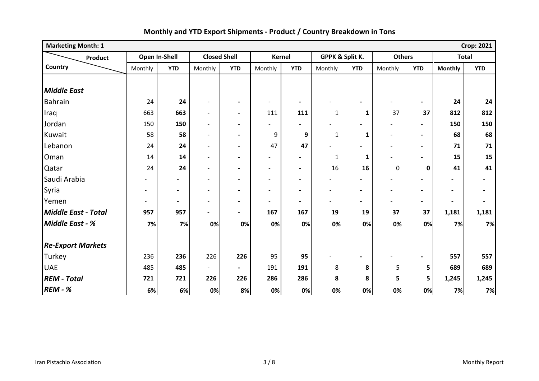| <b>Marketing Month: 1</b> |                |                          |                          |                          |                          |                          |                          |                          |                          |                              |                          | <b>Crop: 2021</b>        |
|---------------------------|----------------|--------------------------|--------------------------|--------------------------|--------------------------|--------------------------|--------------------------|--------------------------|--------------------------|------------------------------|--------------------------|--------------------------|
| Product                   |                | Open In-Shell            | <b>Closed Shell</b>      |                          | <b>Kernel</b>            |                          | GPPK & Split K.          |                          | <b>Others</b>            |                              | <b>Total</b>             |                          |
| Country                   | Monthly        | <b>YTD</b>               | Monthly                  | <b>YTD</b>               | Monthly                  | <b>YTD</b>               | Monthly                  | <b>YTD</b>               | Monthly                  | <b>YTD</b>                   | <b>Monthly</b>           | <b>YTD</b>               |
|                           |                |                          |                          |                          |                          |                          |                          |                          |                          |                              |                          |                          |
| <b>Middle East</b>        |                |                          |                          |                          |                          |                          |                          |                          |                          |                              |                          |                          |
| <b>Bahrain</b>            | 24             | 24                       | $\qquad \qquad -$        | $\blacksquare$           | $\overline{\phantom{a}}$ | $\blacksquare$           |                          |                          |                          | $\overline{\phantom{0}}$     | 24                       | 24                       |
| Iraq                      | 663            | 663                      | $\overline{a}$           | $\overline{\phantom{a}}$ | 111                      | 111                      | 1                        | $\mathbf{1}$             | 37                       | 37                           | 812                      | 812                      |
| Jordan                    | 150            | 150                      | $\overline{a}$           | $\blacksquare$           | $\blacksquare$           | $\blacksquare$           |                          |                          |                          | $\blacksquare$               | 150                      | 150                      |
| Kuwait                    | 58             | 58                       | $\overline{a}$           | $\blacksquare$           | 9                        | 9                        | $\mathbf 1$              | $\mathbf{1}$             | $\overline{\phantom{a}}$ | $\blacksquare$               | 68                       | 68                       |
| Lebanon                   | 24             | 24                       | $\overline{a}$           | $\blacksquare$           | 47                       | 47                       |                          |                          | $\overline{\phantom{a}}$ | $\overline{\phantom{0}}$     | 71                       | 71                       |
| Oman                      | 14             | 14                       | $\overline{a}$           | $\blacksquare$           | $\overline{\phantom{a}}$ | $\overline{\phantom{a}}$ | $\mathbf{1}$             | 1                        |                          | $\qquad \qquad \blacksquare$ | 15                       | 15                       |
| Qatar                     | 24             | 24                       | $\overline{\phantom{a}}$ | $\blacksquare$           | $\overline{\phantom{a}}$ | $\blacksquare$           | 16                       | 16                       | 0                        | $\mathbf 0$                  | 41                       | 41                       |
| Saudi Arabia              |                | $\overline{\phantom{0}}$ | $\blacksquare$           | $\blacksquare$           | $\overline{\phantom{a}}$ | $\blacksquare$           | $\overline{\phantom{a}}$ |                          | $\overline{\phantom{a}}$ | $\overline{\phantom{0}}$     | $\overline{\phantom{0}}$ | $\overline{\phantom{0}}$ |
| Syria                     | $\overline{a}$ | $\overline{\phantom{0}}$ | $\overline{a}$           | $\blacksquare$           | $\overline{\phantom{a}}$ | $\blacksquare$           | $\overline{\phantom{0}}$ | $\blacksquare$           | $\overline{\phantom{0}}$ | $\qquad \qquad \blacksquare$ | $\overline{\phantom{0}}$ | -                        |
| Yemen                     | $\overline{a}$ | $\overline{\phantom{0}}$ | $\overline{\phantom{a}}$ | $\blacksquare$           | $\blacksquare$           | $\blacksquare$           | $\overline{\phantom{a}}$ | $\overline{\phantom{a}}$ |                          | $\overline{\phantom{0}}$     | $\overline{\phantom{a}}$ | $\overline{\phantom{a}}$ |
| Middle East - Total       | 957            | 957                      | $\blacksquare$           | $\blacksquare$           | 167                      | 167                      | 19                       | 19                       | 37                       | 37                           | 1,181                    | 1,181                    |
| <b>Middle East - %</b>    | 7%             | 7%                       | 0%                       | 0%                       | 0%                       | 0%                       | 0%                       | 0%                       | 0%                       | 0%                           | 7%                       | 7%                       |
|                           |                |                          |                          |                          |                          |                          |                          |                          |                          |                              |                          |                          |
| <b>Re-Export Markets</b>  |                |                          |                          |                          |                          |                          |                          |                          |                          |                              |                          |                          |
| Turkey                    | 236            | 236                      | 226                      | 226                      | 95                       | 95                       |                          | $\blacksquare$           | $\overline{\phantom{a}}$ | $\blacksquare$               | 557                      | 557                      |
| <b>UAE</b>                | 485            | 485                      | $\overline{\phantom{0}}$ | $\overline{\phantom{0}}$ | 191                      | 191                      | 8                        | 8                        | 5                        | 5                            | 689                      | 689                      |
| <b>REM - Total</b>        | 721            | 721                      | 226                      | 226                      | 286                      | 286                      | 8                        | 8                        | 5                        | 5                            | 1,245                    | 1,245                    |
| <b>REM - %</b>            | 6%             | 6%                       | 0%                       | 8%                       | 0%                       | 0%                       | 0%                       | 0%                       | 0%                       | 0%                           | 7%                       | 7%                       |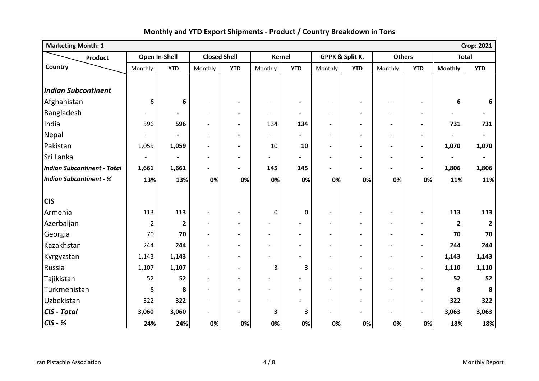| <b>Marketing Month: 1</b><br><b>Crop: 2021</b> |                |                |                          |                          |                          |                          |                          |                          |                          |                          |                |                          |
|------------------------------------------------|----------------|----------------|--------------------------|--------------------------|--------------------------|--------------------------|--------------------------|--------------------------|--------------------------|--------------------------|----------------|--------------------------|
| <b>Product</b>                                 |                | Open In-Shell  | <b>Closed Shell</b>      |                          | <b>Kernel</b>            |                          |                          | GPPK & Split K.          | <b>Others</b>            |                          | <b>Total</b>   |                          |
| Country                                        | Monthly        | <b>YTD</b>     | Monthly                  | <b>YTD</b>               | Monthly                  | <b>YTD</b>               | Monthly                  | <b>YTD</b>               | Monthly                  | <b>YTD</b>               | <b>Monthly</b> | <b>YTD</b>               |
|                                                |                |                |                          |                          |                          |                          |                          |                          |                          |                          |                |                          |
| <b>Indian Subcontinent</b>                     |                |                |                          |                          |                          |                          |                          |                          |                          |                          |                |                          |
| Afghanistan                                    | 6              | 6              | $\blacksquare$           | $\blacksquare$           | $\overline{\phantom{a}}$ | $\blacksquare$           |                          |                          |                          | $\blacksquare$           | 6              | 6                        |
| Bangladesh                                     |                | $\blacksquare$ | $\overline{\phantom{0}}$ | $\overline{\phantom{a}}$ | $\blacksquare$           | $\overline{\phantom{a}}$ | $\overline{\phantom{a}}$ | $\blacksquare$           | $\overline{\phantom{a}}$ | $\blacksquare$           |                | $\blacksquare$           |
| India                                          | 596            | 596            | $\overline{\phantom{a}}$ | $\blacksquare$           | 134                      | 134                      | $\overline{a}$           |                          | $\blacksquare$           | $\blacksquare$           | 731            | 731                      |
| Nepal                                          |                |                | $\overline{\phantom{0}}$ | $\blacksquare$           | $\blacksquare$           |                          | $\blacksquare$           | $\blacksquare$           | $\overline{\phantom{a}}$ | $\blacksquare$           |                | $\overline{\phantom{a}}$ |
| Pakistan                                       | 1,059          | 1,059          | $\overline{a}$           | $\blacksquare$           | 10                       | 10                       | $\overline{a}$           | $\blacksquare$           | $\blacksquare$           | $\blacksquare$           | 1,070          | 1,070                    |
| Sri Lanka                                      | $\blacksquare$ |                | $\overline{\phantom{a}}$ | $\blacksquare$           |                          |                          |                          |                          |                          | $\blacksquare$           | $\blacksquare$ | $\overline{\phantom{a}}$ |
| <b>Indian Subcontinent - Total</b>             | 1,661          | 1,661          | $\blacksquare$           | $\blacksquare$           | 145                      | 145                      |                          |                          |                          | $\blacksquare$           | 1,806          | 1,806                    |
| <b>Indian Subcontinent - %</b>                 | 13%            | 13%            | 0%                       | 0%                       | 0%                       | 0%                       | 0%                       | 0%                       | 0%                       | 0%                       | 11%            | 11%                      |
|                                                |                |                |                          |                          |                          |                          |                          |                          |                          |                          |                |                          |
| <b>CIS</b>                                     |                |                |                          |                          |                          |                          |                          |                          |                          |                          |                |                          |
| Armenia                                        | 113            | 113            | $\overline{\phantom{a}}$ | $\blacksquare$           | 0                        | $\mathbf 0$              | $\overline{\phantom{a}}$ | $\blacksquare$           | $\overline{\phantom{a}}$ | $\blacksquare$           | 113            | 113                      |
| Azerbaijan                                     | $\overline{2}$ | $\overline{2}$ | $\overline{\phantom{a}}$ | $\blacksquare$           | $\overline{\phantom{a}}$ | $\blacksquare$           | $\blacksquare$           | $\blacksquare$           | $\overline{\phantom{a}}$ | $\blacksquare$           | $\mathbf{2}$   |                          |
| Georgia                                        | 70             | 70             | $\overline{\phantom{a}}$ | $\blacksquare$           | $\overline{\phantom{a}}$ | $\overline{\phantom{a}}$ |                          | $\blacksquare$           | $\overline{\phantom{a}}$ | $\blacksquare$           | 70             | 70                       |
| Kazakhstan                                     | 244            | 244            |                          | $\blacksquare$           | $\blacksquare$           | $\blacksquare$           |                          |                          |                          | $\blacksquare$           | 244            | 244                      |
| Kyrgyzstan                                     | 1,143          | 1,143          | $\overline{\phantom{a}}$ |                          |                          |                          | $\overline{\phantom{0}}$ |                          |                          | $\overline{\phantom{a}}$ | 1,143          | 1,143                    |
| Russia                                         | 1,107          | 1,107          | $\overline{a}$           | $\overline{\phantom{0}}$ | 3                        | 3                        | $\overline{a}$           | $\overline{\phantom{0}}$ | $\blacksquare$           | $\blacksquare$           | 1,110          | 1,110                    |
| Tajikistan                                     | 52             | 52             | $\overline{a}$           | $\blacksquare$           | $\overline{\phantom{a}}$ |                          |                          |                          | $\blacksquare$           | $\blacksquare$           | 52             | 52                       |
| Turkmenistan                                   | 8              | 8              | $\overline{a}$           | $\blacksquare$           | $\blacksquare$           | $\blacksquare$           | $\blacksquare$           | $\blacksquare$           | $\blacksquare$           | $\blacksquare$           | 8              | 8                        |
| Uzbekistan                                     | 322            | 322            | $\blacksquare$           | $\blacksquare$           |                          | $\overline{\phantom{0}}$ | $\blacksquare$           | $\blacksquare$           | $\overline{\phantom{a}}$ | $\blacksquare$           | 322            | 322                      |
| CIS - Total                                    | 3,060          | 3,060          | $\blacksquare$           | $\overline{\phantom{a}}$ | 3                        | 3                        |                          |                          |                          | $\blacksquare$           | 3,063          | 3,063                    |
| $CIS - %$                                      | 24%            | 24%            | 0%                       | 0%                       | 0%                       | 0%                       | 0%                       | 0%                       | 0%                       | 0%                       | 18%            | 18%                      |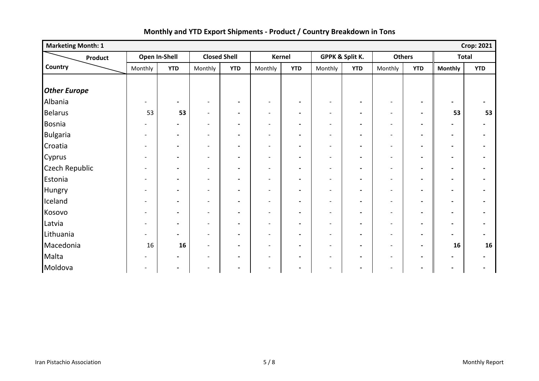| <b>Marketing Month: 1</b> |                              |                          |                          |                     |                          |                          |                          |                          |                          |                          |                              | <b>Crop: 2021</b>        |
|---------------------------|------------------------------|--------------------------|--------------------------|---------------------|--------------------------|--------------------------|--------------------------|--------------------------|--------------------------|--------------------------|------------------------------|--------------------------|
| Product                   | Open In-Shell                |                          |                          | <b>Closed Shell</b> |                          | Kernel                   | GPPK & Split K.          |                          |                          | <b>Others</b>            | <b>Total</b>                 |                          |
| Country                   | Monthly                      | <b>YTD</b>               | Monthly                  | <b>YTD</b>          | Monthly                  | <b>YTD</b>               | Monthly                  | <b>YTD</b>               | Monthly                  | <b>YTD</b>               | <b>Monthly</b>               | <b>YTD</b>               |
|                           |                              |                          |                          |                     |                          |                          |                          |                          |                          |                          |                              |                          |
| <b>Other Europe</b>       |                              |                          |                          |                     |                          |                          |                          |                          |                          |                          |                              |                          |
| Albania                   | $\blacksquare$               | $\blacksquare$           | $\overline{\phantom{a}}$ | $\blacksquare$      | $\overline{\phantom{a}}$ | $\blacksquare$           | $\overline{\phantom{a}}$ | $\blacksquare$           | $\overline{\phantom{a}}$ | $\overline{\phantom{a}}$ | $\overline{\phantom{0}}$     |                          |
| <b>Belarus</b>            | 53                           | 53                       | $\overline{\phantom{a}}$ | $\blacksquare$      | $\overline{\phantom{a}}$ | $\overline{\phantom{a}}$ | $\overline{\phantom{a}}$ | $\blacksquare$           | $\blacksquare$           | $\blacksquare$           | 53                           | 53                       |
| Bosnia                    | $\blacksquare$               | $\blacksquare$           | $\overline{\phantom{a}}$ | $\blacksquare$      | $\overline{\phantom{a}}$ | $\overline{\phantom{a}}$ | $\overline{\phantom{a}}$ | $\blacksquare$           | $\overline{\phantom{a}}$ | $\blacksquare$           | $\qquad \qquad \blacksquare$ | $\blacksquare$           |
| <b>Bulgaria</b>           | $\overline{\phantom{a}}$     | $\blacksquare$           | $\overline{\phantom{a}}$ | $\blacksquare$      | $\overline{\phantom{a}}$ | $\blacksquare$           | $\overline{\phantom{a}}$ | $\blacksquare$           | $\overline{\phantom{a}}$ | $\blacksquare$           | $\blacksquare$               | $\overline{\phantom{a}}$ |
| Croatia                   | $\overline{\phantom{a}}$     | $\overline{\phantom{a}}$ | $\overline{\phantom{a}}$ | $\blacksquare$      | $\overline{\phantom{a}}$ | $\blacksquare$           | $\overline{\phantom{a}}$ | $\blacksquare$           | $\overline{\phantom{a}}$ | $\blacksquare$           | $\qquad \qquad \blacksquare$ |                          |
| Cyprus                    | $\overline{\phantom{a}}$     | $\blacksquare$           | $\overline{\phantom{a}}$ | $\blacksquare$      | $\overline{\phantom{a}}$ | $\overline{\phantom{a}}$ | $\overline{\phantom{a}}$ | $\blacksquare$           | $\overline{\phantom{a}}$ | $\blacksquare$           | $\blacksquare$               | $\blacksquare$           |
| <b>Czech Republic</b>     | $\overline{\phantom{a}}$     | $\overline{\phantom{a}}$ | $\overline{\phantom{a}}$ | $\blacksquare$      | $\overline{\phantom{a}}$ | $\blacksquare$           | $\overline{\phantom{a}}$ | $\overline{\phantom{a}}$ | $\overline{\phantom{a}}$ | $\blacksquare$           | $\blacksquare$               |                          |
| Estonia                   | $\overline{\phantom{a}}$     | $\blacksquare$           | $\overline{\phantom{a}}$ | $\blacksquare$      | $\overline{\phantom{a}}$ | $\overline{\phantom{a}}$ | $\overline{\phantom{a}}$ | $\blacksquare$           | $\overline{\phantom{a}}$ | $\overline{\phantom{a}}$ | $\blacksquare$               |                          |
| <b>Hungry</b>             | $\overline{\phantom{a}}$     | $\blacksquare$           | $\overline{\phantom{a}}$ | $\blacksquare$      | $\overline{\phantom{a}}$ | $\blacksquare$           | $\overline{\phantom{a}}$ | $\blacksquare$           | $\overline{\phantom{a}}$ | $\blacksquare$           |                              |                          |
| Iceland                   | $\overline{\phantom{a}}$     | $\blacksquare$           | $\overline{\phantom{a}}$ | $\blacksquare$      | $\overline{\phantom{a}}$ | $\blacksquare$           | $\overline{\phantom{a}}$ | $\blacksquare$           | $\overline{\phantom{a}}$ | $\blacksquare$           | $\blacksquare$               |                          |
| Kosovo                    | $\qquad \qquad \blacksquare$ | $\blacksquare$           | $\overline{\phantom{a}}$ | $\blacksquare$      | $\overline{\phantom{a}}$ | $\overline{\phantom{a}}$ | $\overline{\phantom{a}}$ | $\overline{\phantom{a}}$ | $\overline{\phantom{a}}$ | $\blacksquare$           | $\qquad \qquad \blacksquare$ |                          |
| Latvia                    | $\overline{\phantom{a}}$     | $\blacksquare$           | $\overline{\phantom{a}}$ | $\blacksquare$      | $\overline{\phantom{a}}$ | $\blacksquare$           | $\qquad \qquad -$        | $\blacksquare$           | $\overline{\phantom{a}}$ | $\blacksquare$           | $\overline{\phantom{a}}$     |                          |
| Lithuania                 | $\overline{\phantom{a}}$     | $\blacksquare$           | $\overline{\phantom{a}}$ | $\blacksquare$      | $\overline{\phantom{a}}$ | $\blacksquare$           | $\overline{\phantom{0}}$ | $\blacksquare$           | $\overline{\phantom{a}}$ | $\overline{\phantom{a}}$ | $\overline{\phantom{0}}$     |                          |
| Macedonia                 | 16                           | 16                       | $\overline{\phantom{a}}$ | $\blacksquare$      | $\overline{\phantom{a}}$ | $\blacksquare$           | $\overline{\phantom{a}}$ | $\blacksquare$           | $\overline{\phantom{a}}$ | $\blacksquare$           | 16                           | 16                       |
| Malta                     |                              | $\blacksquare$           | $\overline{\phantom{a}}$ | $\blacksquare$      | $\overline{\phantom{a}}$ | $\overline{\phantom{a}}$ | $\overline{\phantom{a}}$ | $\blacksquare$           | $\overline{\phantom{a}}$ | $\blacksquare$           |                              |                          |
| Moldova                   | $\overline{\phantom{a}}$     | $\blacksquare$           | $\overline{\phantom{a}}$ | $\blacksquare$      | $\overline{\phantom{a}}$ | $\overline{\phantom{a}}$ | $\overline{\phantom{0}}$ | $\overline{\phantom{a}}$ | $\overline{\phantom{a}}$ | $\blacksquare$           | $\qquad \qquad \blacksquare$ |                          |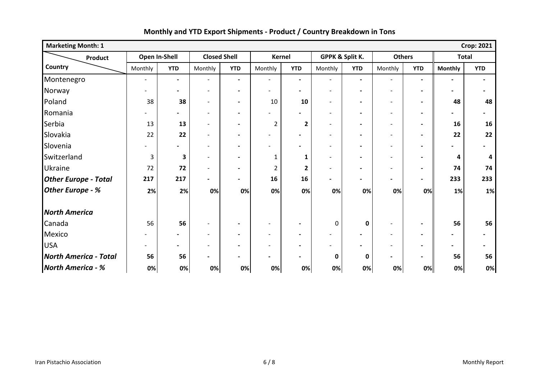| <b>Marketing Month: 1</b>    | <b>Crop: 2021</b>        |                              |                          |                          |                          |                          |                          |                |                          |                          |                          |                |
|------------------------------|--------------------------|------------------------------|--------------------------|--------------------------|--------------------------|--------------------------|--------------------------|----------------|--------------------------|--------------------------|--------------------------|----------------|
| Product                      | Open In-Shell            |                              | <b>Closed Shell</b>      |                          | Kernel                   |                          | GPPK & Split K.          |                | <b>Others</b>            |                          | <b>Total</b>             |                |
| Country                      | Monthly                  | <b>YTD</b>                   | Monthly                  | <b>YTD</b>               | Monthly                  | <b>YTD</b>               | Monthly                  | <b>YTD</b>     | Monthly                  | <b>YTD</b>               | <b>Monthly</b>           | <b>YTD</b>     |
| Montenegro                   | $\overline{\phantom{a}}$ | $\blacksquare$               | $\overline{\phantom{0}}$ | $\blacksquare$           | $\overline{\phantom{a}}$ | $\blacksquare$           | $\overline{\phantom{a}}$ | $\blacksquare$ | $\overline{\phantom{a}}$ | $\blacksquare$           | $\blacksquare$           | $\blacksquare$ |
| Norway                       |                          | $\blacksquare$               | $\blacksquare$           | $\blacksquare$           | $\overline{\phantom{0}}$ | $\blacksquare$           | $\blacksquare$           | $\blacksquare$ | $\overline{\phantom{a}}$ | $\blacksquare$           | $\overline{\phantom{a}}$ | $\blacksquare$ |
| Poland                       | 38                       | 38                           | $\blacksquare$           | $\blacksquare$           | 10                       | 10                       | $\blacksquare$           | $\blacksquare$ | $\overline{\phantom{a}}$ | $\blacksquare$           | 48                       | 48             |
| Romania                      |                          | -                            | $\overline{\phantom{a}}$ | $\blacksquare$           | $\overline{\phantom{a}}$ | $\blacksquare$           | $\overline{\phantom{a}}$ | $\blacksquare$ | $\overline{\phantom{a}}$ | $\blacksquare$           |                          | $\blacksquare$ |
| Serbia                       | 13                       | 13                           | $\overline{\phantom{a}}$ | $\blacksquare$           | $\overline{2}$           | $\overline{\mathbf{2}}$  | $\overline{\phantom{a}}$ | $\blacksquare$ | $\overline{\phantom{a}}$ | $\blacksquare$           | 16                       | 16             |
| Slovakia                     | 22                       | 22                           | $\overline{\phantom{a}}$ | $\blacksquare$           | $\overline{\phantom{a}}$ | $\blacksquare$           | $\overline{\phantom{a}}$ | $\blacksquare$ | $\overline{\phantom{a}}$ | $\blacksquare$           | 22                       | 22             |
| Slovenia                     |                          |                              |                          | -                        |                          | $\overline{\phantom{0}}$ | $\overline{a}$           | $\blacksquare$ | $\overline{\phantom{0}}$ |                          |                          |                |
| Switzerland                  | 3                        | 3                            | $\qquad \qquad -$        | Ξ.                       | 1                        | 1                        | $\overline{\phantom{a}}$ | $\blacksquare$ | $\overline{\phantom{a}}$ | $\blacksquare$           | 4                        | Δ              |
| <b>Ukraine</b>               | 72                       | 72                           | $\overline{\phantom{a}}$ | $\overline{\phantom{0}}$ | $\overline{2}$           | $\overline{2}$           | $\overline{\phantom{0}}$ | $\blacksquare$ | $\overline{\phantom{a}}$ | $\blacksquare$           | 74                       | 74             |
| <b>Other Europe - Total</b>  | 217                      | 217                          | $\overline{\phantom{0}}$ | $\blacksquare$           | 16                       | 16                       | $\overline{\phantom{0}}$ | $\blacksquare$ | $\blacksquare$           | $\blacksquare$           | 233                      | 233            |
| Other Europe - %             | 2%                       | 2%                           | 0%                       | 0%                       | 0%                       | 0%                       | 0%                       | 0%             | 0%                       | 0%                       | 1%                       | 1%             |
| <b>North America</b>         |                          |                              |                          |                          |                          |                          |                          |                |                          |                          |                          |                |
| Canada                       | 56                       | 56                           | $\overline{\phantom{a}}$ | $\blacksquare$           | $\overline{\phantom{a}}$ | $\blacksquare$           | 0                        | $\mathbf 0$    | $\overline{\phantom{a}}$ | $\blacksquare$           | 56                       | 56             |
| Mexico                       |                          | $\qquad \qquad \blacksquare$ | $\overline{\phantom{a}}$ | $\blacksquare$           | $\overline{\phantom{a}}$ | $\blacksquare$           | $\overline{\phantom{a}}$ | $\blacksquare$ | $\overline{\phantom{a}}$ | $\blacksquare$           |                          | $\blacksquare$ |
| <b>USA</b>                   |                          | $\overline{\phantom{a}}$     | $\overline{\phantom{a}}$ | $\blacksquare$           | $\overline{\phantom{a}}$ | $\blacksquare$           |                          |                | $\overline{\phantom{a}}$ | $\overline{\phantom{a}}$ |                          | $\blacksquare$ |
| <b>North America - Total</b> | 56                       | 56                           | $\overline{\phantom{a}}$ | $\blacksquare$           | $\blacksquare$           | $\blacksquare$           | 0                        | 0              | $\blacksquare$           | $\blacksquare$           | 56                       | 56             |
| <b>North America - %</b>     | 0%                       | 0%                           | 0%                       | 0%                       | 0%                       | 0%                       | 0%                       | 0%             | 0%                       | 0%                       | 0%                       | 0%             |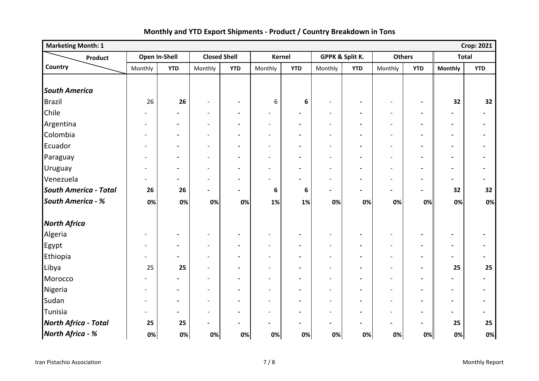| <b>Marketing Month: 1</b>    |                          |                          |                              |                          |                          |                          |                          |                |                          |                          |                          | <b>Crop: 2021</b>            |
|------------------------------|--------------------------|--------------------------|------------------------------|--------------------------|--------------------------|--------------------------|--------------------------|----------------|--------------------------|--------------------------|--------------------------|------------------------------|
| Product                      | Open In-Shell            |                          | <b>Closed Shell</b>          |                          |                          | <b>Kernel</b>            | GPPK & Split K.          |                | <b>Others</b>            |                          | <b>Total</b>             |                              |
| Country                      | Monthly                  | <b>YTD</b>               | Monthly                      | <b>YTD</b>               | Monthly                  | <b>YTD</b>               | Monthly                  | <b>YTD</b>     | Monthly                  | <b>YTD</b>               | <b>Monthly</b>           | <b>YTD</b>                   |
|                              |                          |                          |                              |                          |                          |                          |                          |                |                          |                          |                          |                              |
| <b>South America</b>         |                          |                          |                              |                          |                          |                          |                          |                |                          |                          |                          |                              |
| Brazil                       | 26                       | 26                       | $\overline{\phantom{a}}$     | $\blacksquare$           | 6                        | 6                        | $\overline{\phantom{a}}$ | $\blacksquare$ | $\blacksquare$           | $\blacksquare$           | 32                       | 32                           |
| Chile                        |                          | $\overline{\phantom{0}}$ | $\overline{\phantom{a}}$     | $\blacksquare$           | $\overline{\phantom{a}}$ | $\blacksquare$           | $\overline{\phantom{a}}$ |                | $\overline{\phantom{a}}$ | $\blacksquare$           |                          | $\blacksquare$               |
| Argentina                    | $\overline{\phantom{a}}$ | $\blacksquare$           | $\overline{\phantom{a}}$     | $\overline{\phantom{a}}$ | $\overline{\phantom{a}}$ | $\blacksquare$           | $\overline{\phantom{a}}$ |                | $\overline{\phantom{a}}$ | $\blacksquare$           | $\overline{\phantom{a}}$ | $\blacksquare$               |
| Colombia                     | $\overline{\phantom{0}}$ | $\hbox{--}$              | $\overline{\phantom{0}}$     | $\blacksquare$           | $\overline{a}$           | $\blacksquare$           | $\blacksquare$           | $\blacksquare$ | $\overline{\phantom{a}}$ | $\blacksquare$           | $\blacksquare$           | $\blacksquare$               |
| Ecuador                      | -                        | $\blacksquare$           | $\blacksquare$               | $\blacksquare$           | $\overline{a}$           | $\blacksquare$           | $\overline{\phantom{a}}$ | $\blacksquare$ | $\overline{\phantom{a}}$ | $\blacksquare$           | $\overline{\phantom{a}}$ | $\blacksquare$               |
| Paraguay                     | $\overline{\phantom{0}}$ | $\blacksquare$           | $\overline{\phantom{a}}$     | $\blacksquare$           | $\overline{\phantom{a}}$ | $\blacksquare$           | $\overline{\phantom{a}}$ | $\blacksquare$ | $\overline{\phantom{a}}$ | $\blacksquare$           | $\blacksquare$           | $\blacksquare$               |
| Uruguay                      | -                        | $\blacksquare$           | $\overline{\phantom{0}}$     | $\overline{\phantom{0}}$ | $\overline{\phantom{0}}$ | $\blacksquare$           | $\overline{\phantom{a}}$ |                |                          | $\overline{\phantom{a}}$ | $\overline{\phantom{0}}$ | $\qquad \qquad \blacksquare$ |
| Venezuela                    | -                        | $\blacksquare$           | $\overline{\phantom{a}}$     | $\blacksquare$           | $\overline{a}$           | $\blacksquare$           | $\overline{\phantom{a}}$ | $\blacksquare$ | $\overline{\phantom{a}}$ | $\blacksquare$           | $\overline{\phantom{0}}$ | $\qquad \qquad \blacksquare$ |
| <b>South America - Total</b> | 26                       | 26                       | $\overline{\phantom{a}}$     | $\overline{\phantom{0}}$ | 6                        | $\boldsymbol{6}$         | $\overline{\phantom{a}}$ | $\blacksquare$ | $\blacksquare$           | $\blacksquare$           | 32                       | 32                           |
| <b>South America - %</b>     | 0%                       | 0%                       | 0%                           | 0%                       | 1%                       | 1%                       | 0%                       | 0%             | 0%                       | 0%                       | 0%                       | 0%                           |
| <b>North Africa</b>          |                          |                          |                              |                          |                          |                          |                          |                |                          |                          |                          |                              |
| Algeria                      | $\blacksquare$           | $\hbox{--}$              | $\overline{\phantom{a}}$     | $\hbox{--}$              | $\overline{a}$           | $\blacksquare$           | $\overline{\phantom{a}}$ | $\blacksquare$ | $\overline{\phantom{a}}$ | $\blacksquare$           | $\blacksquare$           | $\qquad \qquad \blacksquare$ |
| Egypt                        | $\overline{\phantom{0}}$ | $\blacksquare$           | $\overline{\phantom{a}}$     | $\blacksquare$           | $\overline{a}$           | $\blacksquare$           | $\overline{\phantom{a}}$ | $\blacksquare$ | $\overline{\phantom{a}}$ | $\blacksquare$           | $\blacksquare$           | $\blacksquare$               |
| Ethiopia                     | $\overline{\phantom{0}}$ | $\blacksquare$           | $\overline{a}$               |                          |                          | $\blacksquare$           |                          |                |                          | $\blacksquare$           | $\overline{\phantom{0}}$ | $\blacksquare$               |
| Libya                        | 25                       | 25                       | $\overline{\phantom{a}}$     | $\blacksquare$           | $\overline{a}$           | $\overline{\phantom{a}}$ | $\overline{\phantom{a}}$ | $\blacksquare$ | $\overline{\phantom{a}}$ | $\blacksquare$           | 25                       | 25                           |
| Morocco                      |                          | $\overline{\phantom{0}}$ | $\overline{a}$               | $\blacksquare$           | $\overline{a}$           | $\blacksquare$           | $\overline{\phantom{a}}$ | $\blacksquare$ | $\overline{\phantom{a}}$ | $\blacksquare$           | $\overline{\phantom{0}}$ | $\blacksquare$               |
| Nigeria                      | $\overline{\phantom{a}}$ | $\blacksquare$           | $\overline{\phantom{a}}$     | $\overline{\phantom{a}}$ | $\overline{a}$           | $\blacksquare$           | $\overline{\phantom{a}}$ | $\blacksquare$ | $\overline{\phantom{a}}$ | $\blacksquare$           | $\blacksquare$           | $\blacksquare$               |
| Sudan                        | $\overline{\phantom{0}}$ | $\overline{\phantom{a}}$ | $\overline{a}$               | $\blacksquare$           | $\overline{a}$           | $\overline{\phantom{a}}$ | $\overline{\phantom{a}}$ |                | $\overline{\phantom{a}}$ | $\blacksquare$           | $\blacksquare$           | $\blacksquare$               |
| Tunisia                      | $\overline{\phantom{0}}$ | $\overline{a}$           | $\overline{a}$               | $\overline{\phantom{0}}$ | $\overline{a}$           | $\overline{\phantom{a}}$ | $\overline{\phantom{a}}$ |                |                          | $\blacksquare$           | $\blacksquare$           | $\blacksquare$               |
| <b>North Africa - Total</b>  | 25                       | 25                       | $\qquad \qquad \blacksquare$ | $\overline{\phantom{a}}$ | $\blacksquare$           | $\blacksquare$           | $\blacksquare$           | $\blacksquare$ | $\overline{\phantom{a}}$ | $\blacksquare$           | 25                       | 25                           |
| North Africa - %             | 0%                       | 0%                       | 0%                           | 0%                       | 0%                       | 0%                       | 0%                       | 0%             | 0%                       | 0%                       | 0%                       | 0%                           |